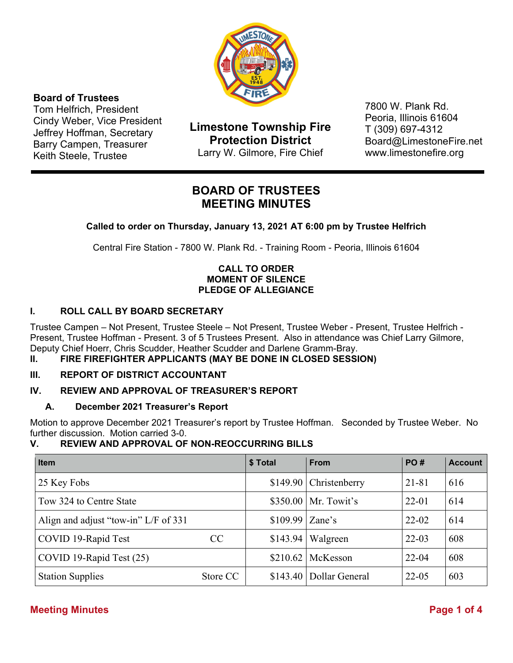

# **Board of Trustees**

Tom Helfrich, President Cindy Weber, Vice President Jeffrey Hoffman, Secretary Barry Campen, Treasurer Keith Steele, Trustee

**Limestone Township Fire Protection District**  Larry W. Gilmore, Fire Chief

7800 W. Plank Rd. Peoria, Illinois 61604 T (309) 697-4312 Board@LimestoneFire.net www.limestonefire.org

# **BOARD OF TRUSTEES MEETING MINUTES**

**Called to order on Thursday, January 13, 2021 AT 6:00 pm by Trustee Helfrich** 

Central Fire Station - 7800 W. Plank Rd. - Training Room - Peoria, Illinois 61604

# **CALL TO ORDER MOMENT OF SILENCE PLEDGE OF ALLEGIANCE**

# **I. ROLL CALL BY BOARD SECRETARY**

Trustee Campen – Not Present, Trustee Steele – Not Present, Trustee Weber - Present, Trustee Helfrich - Present, Trustee Hoffman - Present. 3 of 5 Trustees Present. Also in attendance was Chief Larry Gilmore, Deputy Chief Hoerr, Chris Scudder, Heather Scudder and Darlene Gramm-Bray.

**II. FIRE FIREFIGHTER APPLICANTS (MAY BE DONE IN CLOSED SESSION)** 

# **III. REPORT OF DISTRICT ACCOUNTANT**

# **IV. REVIEW AND APPROVAL OF TREASURER'S REPORT**

# **A. December 2021 Treasurer's Report**

Motion to approve December 2021 Treasurer's report by Trustee Hoffman. Seconded by Trustee Weber. No further discussion. Motion carried 3-0.

# **V. REVIEW AND APPROVAL OF NON-REOCCURRING BILLS**

| <b>Item</b>                          |          | \$ Total         | <b>From</b>               | <b>PO#</b> | <b>Account</b> |
|--------------------------------------|----------|------------------|---------------------------|------------|----------------|
| 25 Key Fobs                          |          |                  | $$149.90$ Christenberry   | $21 - 81$  | 616            |
| Tow 324 to Centre State              |          |                  | $$350.00$   Mr. Towit's   | $22 - 01$  | 614            |
| Align and adjust "tow-in" L/F of 331 |          | $$109.99$ Zane's |                           | $22 - 02$  | 614            |
| COVID 19-Rapid Test                  | CC.      | \$143.94         | Walgreen                  | $22 - 03$  | 608            |
| COVID 19-Rapid Test (25)             |          |                  | $$210.62$ McKesson        | $22 - 04$  | 608            |
| <b>Station Supplies</b>              | Store CC |                  | \$143.40   Dollar General | $22 - 05$  | 603            |

# **Meeting Minutes Page 1 of 4**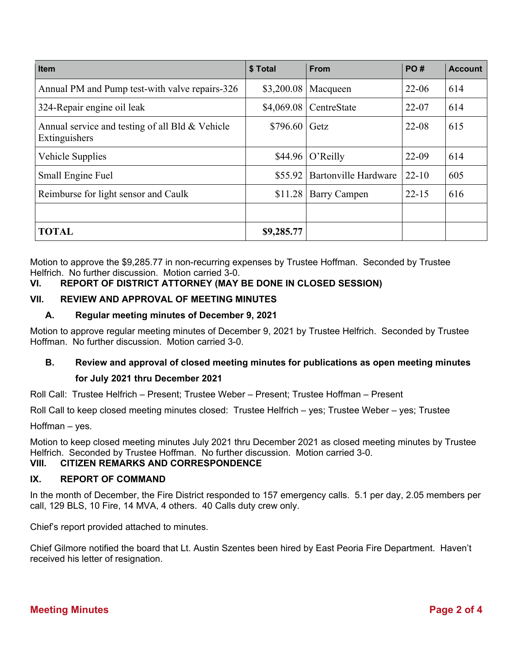| <b>Item</b>                                                      | \$Total    | <b>From</b>                 | <b>PO#</b> | <b>Account</b> |
|------------------------------------------------------------------|------------|-----------------------------|------------|----------------|
| Annual PM and Pump test-with valve repairs-326                   | \$3,200.08 | Macqueen                    | $22 - 06$  | 614            |
| 324-Repair engine oil leak                                       | \$4,069.08 | CentreState                 | $22 - 07$  | 614            |
| Annual service and testing of all Bld & Vehicle<br>Extinguishers | \$796.60   | Getz                        | $22 - 08$  | 615            |
| Vehicle Supplies                                                 | \$44.96    | O'Reilly                    | 22-09      | 614            |
| Small Engine Fuel                                                | \$55.92    | <b>Bartonville Hardware</b> | $22 - 10$  | 605            |
| Reimburse for light sensor and Caulk                             | \$11.28    | <b>Barry Campen</b>         | $22 - 15$  | 616            |
|                                                                  |            |                             |            |                |
| <b>TOTAL</b>                                                     | \$9,285.77 |                             |            |                |

Motion to approve the \$9,285.77 in non-recurring expenses by Trustee Hoffman. Seconded by Trustee Helfrich. No further discussion. Motion carried 3-0.

# **VI. REPORT OF DISTRICT ATTORNEY (MAY BE DONE IN CLOSED SESSION)**

### **VII. REVIEW AND APPROVAL OF MEETING MINUTES**

### **A. Regular meeting minutes of December 9, 2021**

Motion to approve regular meeting minutes of December 9, 2021 by Trustee Helfrich. Seconded by Trustee Hoffman. No further discussion. Motion carried 3-0.

# **B. Review and approval of closed meeting minutes for publications as open meeting minutes for July 2021 thru December 2021**

Roll Call: Trustee Helfrich – Present; Trustee Weber – Present; Trustee Hoffman – Present

Roll Call to keep closed meeting minutes closed: Trustee Helfrich – yes; Trustee Weber – yes; Trustee

Hoffman – yes.

Motion to keep closed meeting minutes July 2021 thru December 2021 as closed meeting minutes by Trustee Helfrich. Seconded by Trustee Hoffman. No further discussion. Motion carried 3-0.

#### **VIII. CITIZEN REMARKS AND CORRESPONDENCE**

#### **IX. REPORT OF COMMAND**

In the month of December, the Fire District responded to 157 emergency calls. 5.1 per day, 2.05 members per call, 129 BLS, 10 Fire, 14 MVA, 4 others. 40 Calls duty crew only.

Chief's report provided attached to minutes.

Chief Gilmore notified the board that Lt. Austin Szentes been hired by East Peoria Fire Department. Haven't received his letter of resignation.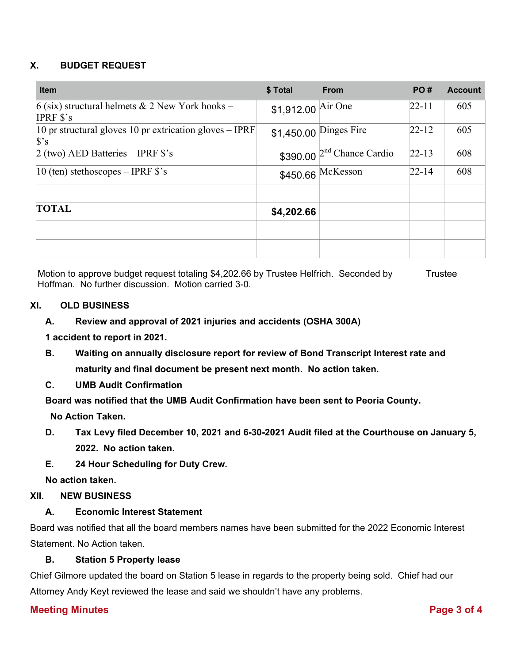# **X. BUDGET REQUEST**

| <b>Item</b>                                                                    | \$ Total           | <b>From</b>                   | PO#       | <b>Account</b> |
|--------------------------------------------------------------------------------|--------------------|-------------------------------|-----------|----------------|
| 6 (six) structural helmets $& 2$ New York hooks –<br><b>IPRF</b> $s$ 's        | \$1,912.00 Air One |                               | $22 - 11$ | 605            |
| 10 pr structural gloves 10 pr extrication gloves $-$ IPRF<br>$\mathbf{\$\}$ 's |                    | \$1,450.00 Dinges Fire        | $22 - 12$ | 605            |
| 2 (two) AED Batteries $-$ IPRF \$'s                                            |                    | $$390.00$ $2nd$ Chance Cardio | $22 - 13$ | 608            |
| 10 (ten) stethoscopes $-$ IPRF $\hat{\mathbf{s}}$ 's                           |                    | $$450.66$ McKesson            | $22 - 14$ | 608            |
| <b>TOTAL</b>                                                                   | \$4,202.66         |                               |           |                |
|                                                                                |                    |                               |           |                |

Motion to approve budget request totaling \$4,202.66 by Trustee Helfrich. Seconded by Trustee Hoffman. No further discussion. Motion carried 3-0.

### **XI. OLD BUSINESS**

### **A. Review and approval of 2021 injuries and accidents (OSHA 300A)**

**1 accident to report in 2021.** 

- **B. Waiting on annually disclosure report for review of Bond Transcript Interest rate and maturity and final document be present next month. No action taken.**
- **C. UMB Audit Confirmation**

**Board was notified that the UMB Audit Confirmation have been sent to Peoria County.** 

 **No Action Taken.** 

- **D. Tax Levy filed December 10, 2021 and 6-30-2021 Audit filed at the Courthouse on January 5, 2022. No action taken.**
- **E. 24 Hour Scheduling for Duty Crew.**

**No action taken.** 

### **XII. NEW BUSINESS**

### **A. Economic Interest Statement**

Board was notified that all the board members names have been submitted for the 2022 Economic Interest Statement. No Action taken.

### **B. Station 5 Property lease**

Chief Gilmore updated the board on Station 5 lease in regards to the property being sold. Chief had our Attorney Andy Keyt reviewed the lease and said we shouldn't have any problems.

### **Meeting Minutes Page 3 of 4**